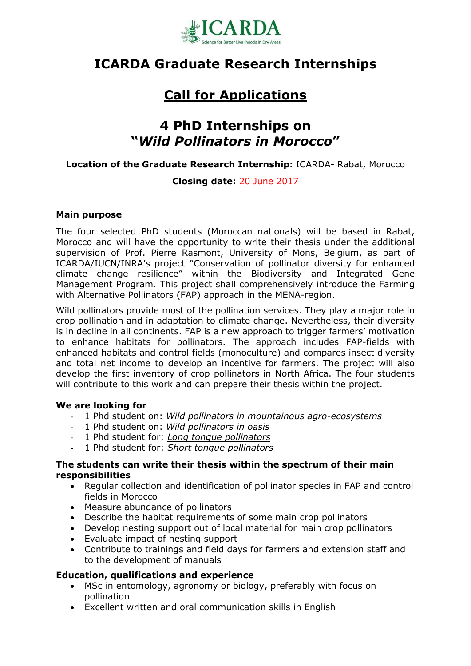

## **ICARDA Graduate Research Internships**

# **Call for Applications**

## **4 PhD Internships on "***Wild Pollinators in Morocco***"**

#### **Location of the Graduate Research Internship:** ICARDA- Rabat, Morocco

### **Closing date:** 20 June 2017

#### **Main purpose**

The four selected PhD students (Moroccan nationals) will be based in Rabat, Morocco and will have the opportunity to write their thesis under the additional supervision of Prof. Pierre Rasmont, University of Mons, Belgium, as part of ICARDA/IUCN/INRA's project "Conservation of pollinator diversity for enhanced climate change resilience" within the Biodiversity and Integrated Gene Management Program. This project shall comprehensively introduce the Farming with Alternative Pollinators (FAP) approach in the MENA-region.

Wild pollinators provide most of the pollination services. They play a major role in crop pollination and in adaptation to climate change. Nevertheless, their diversity is in decline in all continents. FAP is a new approach to trigger farmers' motivation to enhance habitats for pollinators. The approach includes FAP-fields with enhanced habitats and control fields (monoculture) and compares insect diversity and total net income to develop an incentive for farmers. The project will also develop the first inventory of crop pollinators in North Africa. The four students will contribute to this work and can prepare their thesis within the project.

#### **We are looking for**

- 1 Phd student on: *Wild pollinators in mountainous agro-ecosystems*
- 1 Phd student on: *Wild pollinators in oasis*
- 1 Phd student for: *Long tongue pollinators*
- 1 Phd student for: *Short tongue pollinators*

#### **The students can write their thesis within the spectrum of their main responsibilities**

- Regular collection and identification of pollinator species in FAP and control fields in Morocco
- Measure abundance of pollinators
- Describe the habitat requirements of some main crop pollinators
- Develop nesting support out of local material for main crop pollinators
- Evaluate impact of nesting support
- Contribute to trainings and field days for farmers and extension staff and to the development of manuals

#### **Education, qualifications and experience**

- MSc in entomology, agronomy or biology, preferably with focus on pollination
- Excellent written and oral communication skills in English